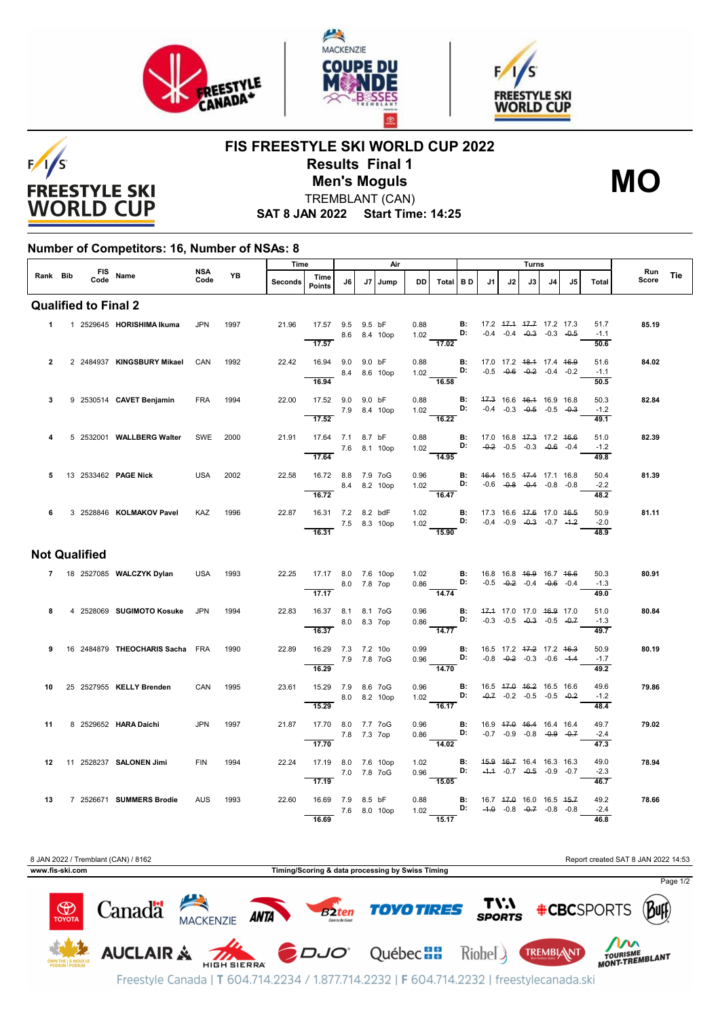





 $F/1/S$ **FREESTYLE SKI WORLD CUP** 

## **FIS FREESTYLE SKI WORLD CUP 2022 Results Final 1** TREMBLANT (CAN) **Men's Moguls MO**

**SAT 8 JAN 2022 Start Time: 14:25**

## **Number of Competitors: 16, Number of NSAs: 8**

|              |  | FIS Name<br>Code Name |                                 | NSA<br>Code | YB   | Time    |                                                      | Air |  |              |      |                                                                                                                       | Turns |    |                                                                          |    |    |                |              |     |
|--------------|--|-----------------------|---------------------------------|-------------|------|---------|------------------------------------------------------|-----|--|--------------|------|-----------------------------------------------------------------------------------------------------------------------|-------|----|--------------------------------------------------------------------------|----|----|----------------|--------------|-----|
| Rank Bib     |  |                       |                                 |             |      | Seconds | Time<br><b>Points</b>                                | J6  |  | J7   Jump    | DD   | Total BD                                                                                                              | J1    | J2 | J3                                                                       | J4 | J5 | Total          | Run<br>Score | Tie |
|              |  |                       | <b>Qualified to Final 2</b>     |             |      |         |                                                      |     |  |              |      |                                                                                                                       |       |    |                                                                          |    |    |                |              |     |
|              |  |                       | 1 1 2529645 HORISHIMA Ikuma     | <b>JPN</b>  | 1997 | 21.96   | 17.57 9.5 9.5 bF                                     |     |  | 8.6 8.4 10op |      | 0.88 <b>B</b> : 17.2 <del>17.1</del> <del>17.7</del> 17.2 17.3<br>1.02 <b>D:</b> -0.4 -0.4 -0. <del>3</del> -0.3 -0.5 |       |    |                                                                          |    |    | 51.7<br>$-1.1$ | 85.19        |     |
|              |  |                       |                                 |             |      |         | 17.57                                                |     |  |              |      | 17.02                                                                                                                 |       |    |                                                                          |    |    | 50.6           |              |     |
| $\mathbf{2}$ |  |                       | 2 2484937 KINGSBURY Mikael      | CAN         | 1992 | 22.42   | 16.94 9.0 9.0 bF<br>$\frac{8.4}{16.94}$ 8.4 8.6 10op |     |  |              |      | 0.88 <b>B:</b> 17.0 17.2 48.4 17.4 48.9<br>1.02 <b>B:</b> -0.5 -0.6 -0.2 -0.4 -0.2<br><b>16.58</b>                    |       |    |                                                                          |    |    | 51.6<br>$-1.1$ | 84.02        |     |
|              |  |                       |                                 |             |      |         |                                                      |     |  |              |      |                                                                                                                       |       |    |                                                                          |    |    | 50.5           |              |     |
| 3            |  |                       | 9 2530514 CAVET Benjamin        | <b>FRA</b>  | 1994 | 22.00   | 17.52 9.0 9.0 bF<br>7.9 8.4 10op                     |     |  |              | 0.88 | 1.02 <b>D</b> :                                                                                                       |       |    | <b>B:</b> 47.3 16.6 46.4 16.9 16.8<br>$-0.4$ $-0.3$ $-0.5$ $-0.5$ $-0.3$ |    |    | 50.3<br>$-1.2$ | 82.84        |     |
|              |  |                       |                                 |             |      |         | 17.52                                                |     |  |              |      | 16.22                                                                                                                 |       |    |                                                                          |    |    | 49.1           |              |     |
| 4            |  |                       | 5 2532001 WALLBERG Walter       | SWE         | 2000 | 21.91   | 17.64 7.1 8.7 bF<br>7.6 8.1 10op                     |     |  |              |      | 0.88 <b>B:</b> 17.0 16.8 47.3 17.2 46.6<br>1.02 <b>D:</b> -0.2 -0.5 -0.3 -0.6 -0.4                                    |       |    |                                                                          |    |    | 51.0<br>$-1.2$ | 82.39        |     |
|              |  |                       |                                 |             |      |         | 17.64                                                |     |  |              |      | 14.95                                                                                                                 |       |    |                                                                          |    |    | 49.8           |              |     |
| 5            |  |                       | 13 2533462 <b>PAGE Nick</b>     | USA         | 2002 | 22.58   | 16.72 8.8 7.9 7oG<br>8.4 8.2 10op                    |     |  |              | 0.96 | 1.02 <b>D</b> :                                                                                                       |       |    | <b>B:</b> 46.4 16.5 47.4 17.1 16.8<br>$-0.6$ $-0.8$ $-0.4$ $-0.8$ $-0.8$ |    |    | 50.4<br>$-2.2$ | 81.39        |     |
|              |  |                       |                                 |             |      |         | 16.72                                                |     |  |              |      | 16.47                                                                                                                 |       |    |                                                                          |    |    | 48.2           |              |     |
| 6            |  |                       | 3 2528846 KOLMAKOV Pavel        | KAZ         | 1996 | 22.87   | 16.31 7.2 8.2 bdF<br>$7.5$ 8.3 10op                  |     |  |              |      | 1.02 <b>B</b> : 17.3 16.6 <del>17.6</del> 17.0 <del>16.5</del><br>1.02 <b>D</b> : -0.4 -0.9 -0.3 -0.7 -1.2            |       |    |                                                                          |    |    | 50.9<br>$-2.0$ | 81.11        |     |
|              |  |                       |                                 |             |      |         | 16.31                                                |     |  |              |      | $\frac{1}{15.90}$                                                                                                     |       |    |                                                                          |    |    | 48.9           |              |     |
|              |  | <b>Not Qualified</b>  |                                 |             |      |         |                                                      |     |  |              |      |                                                                                                                       |       |    |                                                                          |    |    |                |              |     |
|              |  |                       | 7 18 2527085 WALCZYK Dylan      | USA         | 1993 | 22.25   | 17.17 8.0 7.6 10op                                   |     |  |              |      | 1.02 <b>B</b> : 16.8 16.8 <del>16.9</del> 16.7 <del>16.6</del><br>0.86 <b>D:</b> -0.5 -0.2 -0.4 -0.6 -0.4             |       |    |                                                                          |    |    | 50.3<br>$-1.3$ | 80.91        |     |
|              |  |                       |                                 |             |      |         | 8.0 7.8 7op<br>$\overline{17.17}$                    |     |  |              |      | $\frac{1}{14.74}$                                                                                                     |       |    |                                                                          |    |    | 49.0           |              |     |
| 8            |  |                       | 4 2528069 SUGIMOTO Kosuke       | <b>JPN</b>  | 1994 | 22.83   | 16.37 8.1 8.1 7oG                                    |     |  |              | 0.96 | $0.86$ D:                                                                                                             |       |    | <b>B:</b> 47.4 17.0 17.0 46.9 17.0<br>$-0.3$ $-0.5$ $-0.3$ $-0.5$ $-0.7$ |    |    | 51.0<br>$-1.3$ | 80.84        |     |
|              |  |                       |                                 |             |      |         | 8.0 8.3 7op<br>16.37                                 |     |  |              |      | $\overline{14.77}$                                                                                                    |       |    |                                                                          |    |    | 49.7           |              |     |
| 9            |  |                       | 16 2484879 THEOCHARIS Sacha FRA |             | 1990 | 22.89   | 16.29 7.3 7.2 10o                                    |     |  |              | 0.99 | 0.96 <b>D:</b> $-0.8$ $-0.2$ $-0.3$ $-0.6$ $-1.4$                                                                     |       |    | <b>B:</b> 16.5 17.2 <del>17.2</del> 17.2 <del>16.3</del>                 |    |    | 50.9<br>$-1.7$ | 80.19        |     |
|              |  |                       |                                 |             |      |         | 7.9 7.8 7oG<br>16.29                                 |     |  |              |      | $\frac{1}{14.70}$                                                                                                     |       |    |                                                                          |    |    | 49.2           |              |     |
|              |  |                       | 10 25 2527955 KELLY Brenden     | CAN         | 1995 | 23.61   | 15.29 7.9 8.6 7oG                                    |     |  |              | 0.96 | $1.02$ D:                                                                                                             |       |    | <b>B:</b> 16.5 47.0 46.2 16.5 16.6<br>$-0.7$ $-0.2$ $-0.5$ $-0.5$ $-0.2$ |    |    | 49.6<br>$-1.2$ | 79.86        |     |
|              |  |                       |                                 |             |      |         | 8.0 8.2 10op<br>15.29                                |     |  |              |      | 16.17                                                                                                                 |       |    |                                                                          |    |    | 48.4           |              |     |
| 11           |  |                       | 8 2529652 HARA Daichi           | <b>JPN</b>  | 1997 | 21.87   | 17.70 8.0 7.7 7oG                                    |     |  |              | 0.96 | $0.86$ D: $-0.7$ $-0.9$ $-0.8$ $-0.9$ $-0.7$                                                                          |       |    | <b>B:</b> 16.9 47.0 46.4 16.4 16.4                                       |    |    | 49.7<br>$-2.4$ | 79.02        |     |
|              |  |                       |                                 |             |      |         | 7.8 7.3 7op<br>17.70                                 |     |  |              |      | 14.02                                                                                                                 |       |    |                                                                          |    |    | 47.3           |              |     |
|              |  |                       | 12 11 2528237 SALONEN Jimi      | <b>FIN</b>  | 1994 | 22.24   | 17.19 8.0 7.6 10op                                   |     |  |              |      | 1.02 <b>B:</b> 4 <del>5.9 16.7</del> 16.4 16.3 16.3<br>0.96 <b>D:</b> -4.4 -0.7 -0.5 -0.9 -0.7                        |       |    |                                                                          |    |    | 49.0<br>$-2.3$ | 78.94        |     |
|              |  |                       |                                 |             |      |         | 7.0 7.8 7oG<br>17.19                                 |     |  |              |      | $\frac{1}{15.05}$                                                                                                     |       |    |                                                                          |    |    | 46.7           |              |     |
|              |  |                       | 13 7 2526671 SUMMERS Brodie     | <b>AUS</b>  | 1993 | 22.60   | 16.69 7.9 8.5 bF                                     |     |  |              | 0.88 | 1.02 <b>D:</b> $-4.0$ $-0.8$ $-0.7$ $-0.8$ $-0.8$                                                                     |       |    | <b>B</b> : 16.7 <del>17.0</del> 16.0 16.5 <del>15.7</del>                |    |    | 49.2<br>$-2.4$ | 78.66        |     |
|              |  |                       |                                 |             |      |         | 7.6 8.0 10op<br>16.69                                |     |  |              |      | $\frac{1}{15.17}$                                                                                                     |       |    |                                                                          |    |    | 46.8           |              |     |